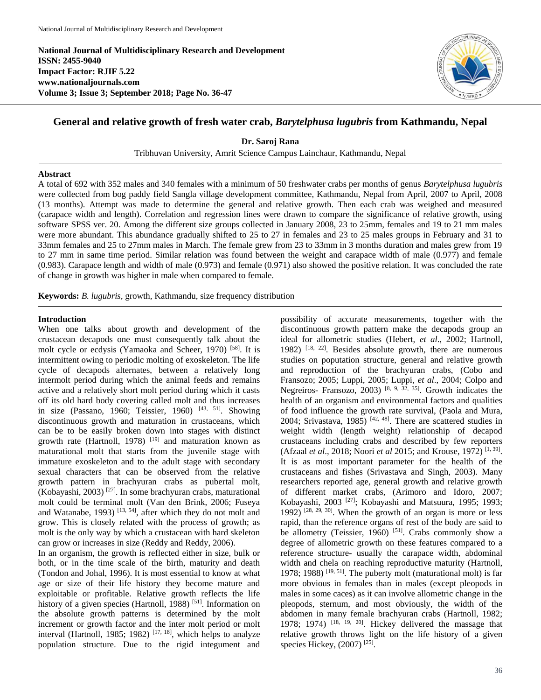**National Journal of Multidisciplinary Research and Development ISSN: 2455-9040 Impact Factor: RJIF 5.22 www.nationaljournals.com Volume 3; Issue 3; September 2018; Page No. 36-47**



# **General and relative growth of fresh water crab,** *Barytelphusa lugubris* **from Kathmandu, Nepal**

**Dr. Saroj Rana**

Tribhuvan University, Amrit Science Campus Lainchaur, Kathmandu, Nepal

### **Abstract**

A total of 692 with 352 males and 340 females with a minimum of 50 freshwater crabs per months of genus *Barytelphusa lugubris* were collected from bog paddy field Sangla village development committee, Kathmandu, Nepal from April, 2007 to April, 2008 (13 months). Attempt was made to determine the general and relative growth. Then each crab was weighed and measured (carapace width and length). Correlation and regression lines were drawn to compare the significance of relative growth, using software SPSS ver. 20. Among the different size groups collected in January 2008, 23 to 25mm, females and 19 to 21 mm males were more abundant. This abundance gradually shifted to 25 to 27 in females and 23 to 25 males groups in February and 31 to 33mm females and 25 to 27mm males in March. The female grew from 23 to 33mm in 3 months duration and males grew from 19 to 27 mm in same time period. Similar relation was found between the weight and carapace width of male (0.977) and female (0.983). Carapace length and width of male (0.973) and female (0.971) also showed the positive relation. It was concluded the rate of change in growth was higher in male when compared to female.

**Keywords:** *B. lugubris,* growth, Kathmandu, size frequency distribution

# **Introduction**

When one talks about growth and development of the crustacean decapods one must consequently talk about the molt cycle or ecdysis (Yamaoka and Scheer, 1970) [58] . It is intermittent owing to periodic molting of exoskeleton. The life cycle of decapods alternates, between a relatively long intermolt period during which the animal feeds and remains active and a relatively short molt period during which it casts off its old hard body covering called molt and thus increases in size (Passano, 1960; Teissier, 1960)<sup>[43, 51]</sup>. Showing discontinuous growth and maturation in crustaceans, which can be to be easily broken down into stages with distinct growth rate (Hartnoll, 1978)<sup>[19]</sup> and maturation known as maturational molt that starts from the juvenile stage with immature exoskeleton and to the adult stage with secondary sexual characters that can be observed from the relative growth pattern in brachyuran crabs as pubertal molt,  $(Kobayashi, 2003)$ <sup>[27]</sup>. In some brachyuran crabs, maturational molt could be terminal molt (Van den Brink, 2006; Fuseya and Watanabe,  $1993$ )<sup>[13, 54]</sup>, after which they do not molt and grow. This is closely related with the process of growth; as molt is the only way by which a crustacean with hard skeleton can grow or increases in size (Reddy and Reddy, 2006).

In an organism, the growth is reflected either in size, bulk or both, or in the time scale of the birth, maturity and death (Tondon and Johal, 1996). It is most essential to know at what age or size of their life history they become mature and exploitable or profitable. Relative growth reflects the life history of a given species (Hartnoll, 1988)<sup>[51]</sup>. Information on the absolute growth patterns is determined by the molt increment or growth factor and the inter molt period or molt interval (Hartnoll, 1985; 1982)<sup>[17, 18]</sup>, which helps to analyze population structure. Due to the rigid integument and

possibility of accurate measurements, together with the discontinuous growth pattern make the decapods group an ideal for allometric studies (Hebert, *et al*., 2002; Hartnoll, 1982) [18, 22] . Besides absolute growth, there are numerous studies on poputation structure, general and relative growth and reproduction of the brachyuran crabs, (Cobo and Fransozo; 2005; Luppi, 2005; Luppi, *et al*., 2004; Colpo and Negreiros- Fransozo, 2003)<sup>[8, 9, 32, 35]</sup>. Growth indicates the health of an organism and environmental factors and qualities of food influence the growth rate survival, (Paola and Mura, 2004; Srivastava, 1985)<sup>[42, 48]</sup>. There are scattered studies in weight width (length weight) relationship of decapod crustaceans including crabs and described by few reporters (Afzaal *et al*., 2018; Noori *et al* 2015; and Krouse, 1972) [1, 39] . It is as most important parameter for the health of the crustaceans and fishes (Srivastava and Singh, 2003). Many researchers reported age, general growth and relative growth of different market crabs, (Arimoro and Idoro, 2007; Kobayashi, 2003<sup>[27]</sup>; Kobayashi and Matsuura, 1995; 1993; 1992)  $[28, 29, 30]$ . When the growth of an organ is more or less rapid, than the reference organs of rest of the body are said to be allometry (Teissier, 1960)<sup>[51]</sup>. Crabs commonly show a degree of allometric growth on these features compared to a reference structure- usually the carapace width, abdominal width and chela on reaching reproductive maturity (Hartnoll, 1978; 1988)  $[19, 51]$ . The puberty molt (maturational molt) is far more obvious in females than in males (except pleopods in males in some caces) as it can involve allometric change in the pleopods, sternum, and most obviously, the width of the abdomen in many female brachyuran crabs (Hartnoll, 1982; 1978; 1974)  $[18, 19, 20]$ . Hickey delivered the massage that relative growth throws light on the life history of a given species Hickey, (2007)<sup>[25]</sup>.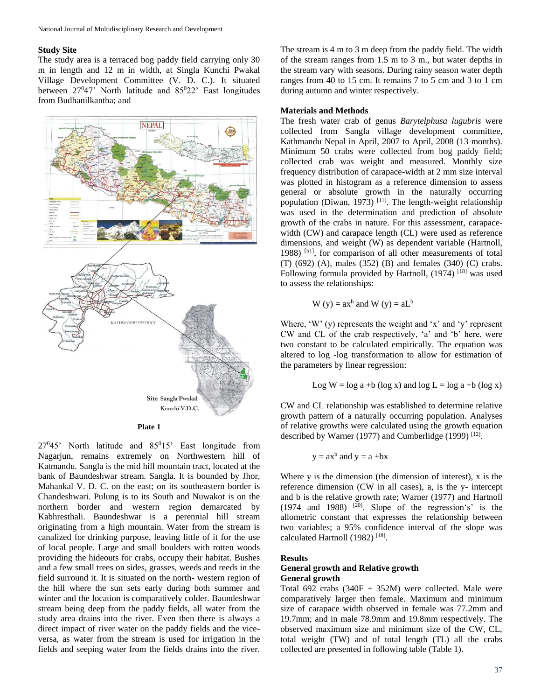### **Study Site**

The study area is a terraced bog paddy field carrying only 30 m in length and 12 m in width, at Singla Kunchi Pwakal Village Development Committee (V. D. C.). It situated between  $27^047$ ' North latitude and  $85^022$ ' East longitudes from Budhanilkantha; and



**Plate 1**

 $27^045'$  North latitude and  $85^015'$  East longitude from Nagarjun, remains extremely on Northwestern hill of Katmandu. Sangla is the mid hill mountain tract, located at the bank of Baundeshwar stream. Sangla. It is bounded by Jhor, Mahankal V. D. C. on the east; on its southeastern border is Chandeshwari. Pulung is to its South and Nuwakot is on the northern border and western region demarcated by Kabhresthali. Baundeshwar is a perennial hill stream originating from a high mountain. Water from the stream is canalized for drinking purpose, leaving little of it for the use of local people. Large and small boulders with rotten woods providing the hideouts for crabs, occupy their habitat. Bushes and a few small trees on sides, grasses, weeds and reeds in the field surround it. It is situated on the north- western region of the hill where the sun sets early during both summer and winter and the location is comparatively colder. Baundeshwar stream being deep from the paddy fields, all water from the study area drains into the river. Even then there is always a direct impact of river water on the paddy fields and the viceversa, as water from the stream is used for irrigation in the fields and seeping water from the fields drains into the river.

The stream is 4 m to 3 m deep from the paddy field. The width of the stream ranges from 1.5 m to 3 m., but water depths in the stream vary with seasons. During rainy season water depth ranges from 40 to 15 cm. It remains 7 to 5 cm and 3 to 1 cm during autumn and winter respectively.

#### **Materials and Methods**

The fresh water crab of genus *Barytelphusa lugubris* were collected from Sangla village development committee, Kathmandu Nepal in April, 2007 to April, 2008 (13 months). Minimum 50 crabs were collected from bog paddy field; collected crab was weight and measured. Monthly size frequency distribution of carapace-width at 2 mm size interval was plotted in histogram as a reference dimension to assess general or absolute growth in the naturally occurring population (Diwan, 1973)<sup>[11]</sup>. The length-weight relationship was used in the determination and prediction of absolute growth of the crabs in nature. For this assessment, carapacewidth (CW) and carapace length (CL) were used as reference dimensions, and weight (W) as dependent variable (Hartnoll, 1988)<sup>[51]</sup>, for comparison of all other measurements of total (T) (692) (A), males (352) (B) and females (340) (C) crabs. Following formula provided by Hartnoll,  $(1974)$ <sup>[18]</sup> was used to assess the relationships:

$$
W(y) = ax^b
$$
 and  $W(y) = aL^b$ 

Where,  $W'$  (y) represents the weight and 'x' and 'y' represent CW and CL of the crab respectively, 'a' and 'b' here, were two constant to be calculated empirically. The equation was altered to log -log transformation to allow for estimation of the parameters by linear regression:

Log W = log a +b (log x) and log L = log a +b (log x)

CW and CL relationship was established to determine relative growth pattern of a naturally occurring population. Analyses of relative growths were calculated using the growth equation described by Warner (1977) and Cumberlidge (1999)<sup>[12]</sup>.

$$
y = ax^b
$$
 and  $y = a + bx$ 

Where y is the dimension (the dimension of interest), x is the reference dimension (CW in all cases), a, is the y- intercept and b is the relative growth rate; Warner (1977) and Hartnoll  $(1974$  and  $1988)$  <sup>[20]</sup>. Slope of the regression's' is the allometric constant that expresses the relationship between two variables; a 95% confidence interval of the slope was calculated Hartnoll (1982)<sup>[18]</sup>.

#### **Results**

# **General growth and Relative growth General growth**

Total 692 crabs (340F + 352M) were collected. Male were comparatively larger then female. Maximum and minimum size of carapace width observed in female was 77.2mm and 19.7mm; and in male 78.9mm and 19.8mm respectively. The observed maximum size and minimum size of the CW, CL, total weight (TW) and of total length (TL) all the crabs collected are presented in following table (Table 1).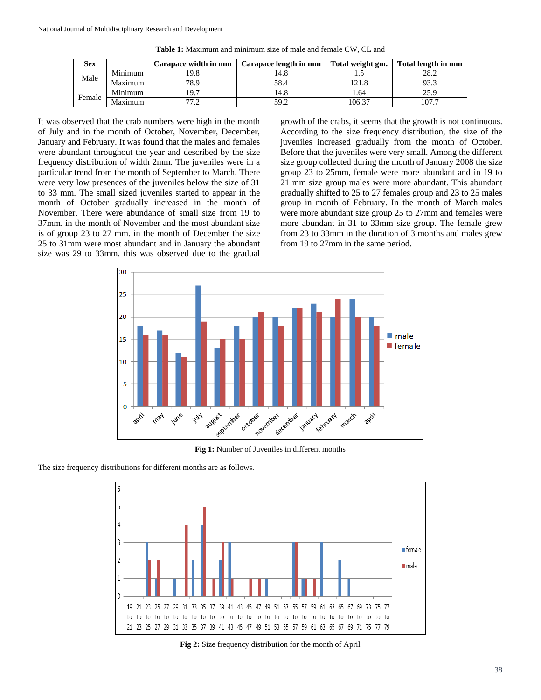| <b>Sex</b> |         | Carapace width in mm | Carapace length in mm | Total weight gm. | Total length in mm |
|------------|---------|----------------------|-----------------------|------------------|--------------------|
| Male       | Minimum | 19.8                 | l4.8                  |                  | 28.2               |
|            | Maximum | 78.9                 | 58.4                  |                  |                    |
| Female     | Minimum | 19.7                 | 14.8                  | 1.64             | 25.9               |
|            | Maximum |                      | 59.2                  | 106.37           | 107.7              |

**Table 1:** Maximum and minimum size of male and female CW, CL and

It was observed that the crab numbers were high in the month of July and in the month of October, November, December, January and February. It was found that the males and females were abundant throughout the year and described by the size frequency distribution of width 2mm. The juveniles were in a particular trend from the month of September to March. There were very low presences of the juveniles below the size of 31 to 33 mm. The small sized juveniles started to appear in the month of October gradually increased in the month of November. There were abundance of small size from 19 to 37mm. in the month of November and the most abundant size is of group 23 to 27 mm. in the month of December the size 25 to 31mm were most abundant and in January the abundant size was 29 to 33mm. this was observed due to the gradual

growth of the crabs, it seems that the growth is not continuous. According to the size frequency distribution, the size of the juveniles increased gradually from the month of October. Before that the juveniles were very small. Among the different size group collected during the month of January 2008 the size group 23 to 25mm, female were more abundant and in 19 to 21 mm size group males were more abundant. This abundant gradually shifted to 25 to 27 females group and 23 to 25 males group in month of February. In the month of March males were more abundant size group 25 to 27mm and females were more abundant in 31 to 33mm size group. The female grew from 23 to 33mm in the duration of 3 months and males grew from 19 to 27mm in the same period.



**Fig 1:** Number of Juveniles in different months



The size frequency distributions for different months are as follows.

**Fig 2:** Size frequency distribution for the month of April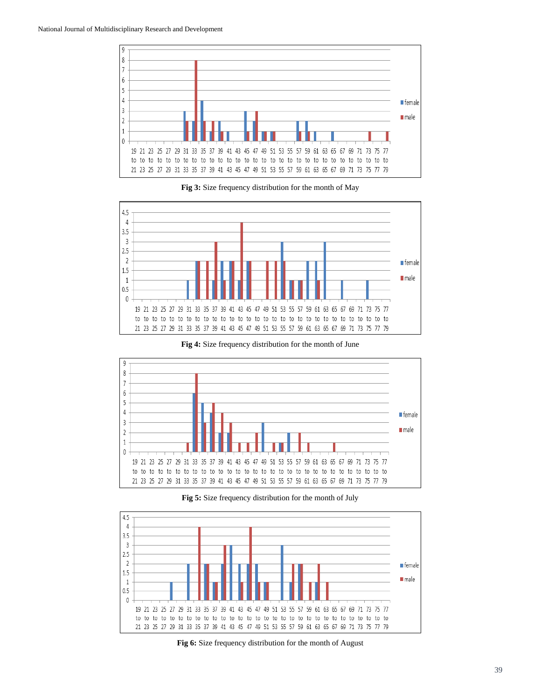

**Fig 3:** Size frequency distribution for the month of May



**Fig 4:** Size frequency distribution for the month of June



**Fig 5:** Size frequency distribution for the month of July



**Fig 6:** Size frequency distribution for the month of August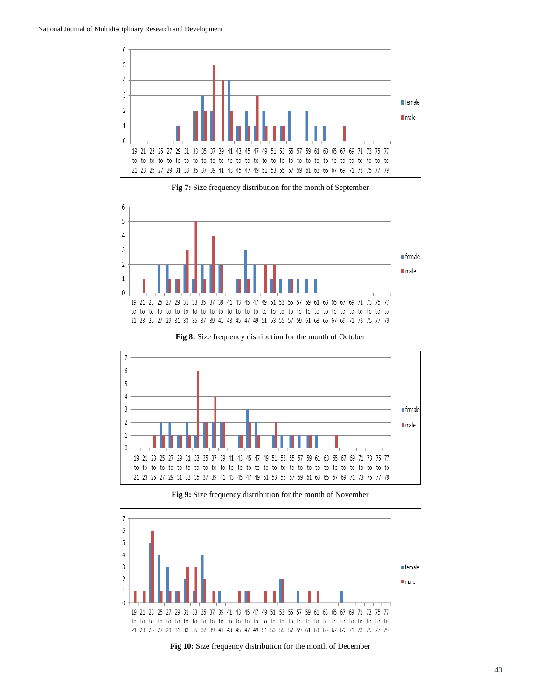

**Fig 7:** Size frequency distribution for the month of September







**Fig 9:** Size frequency distribution for the month of November



**Fig 10:** Size frequency distribution for the month of December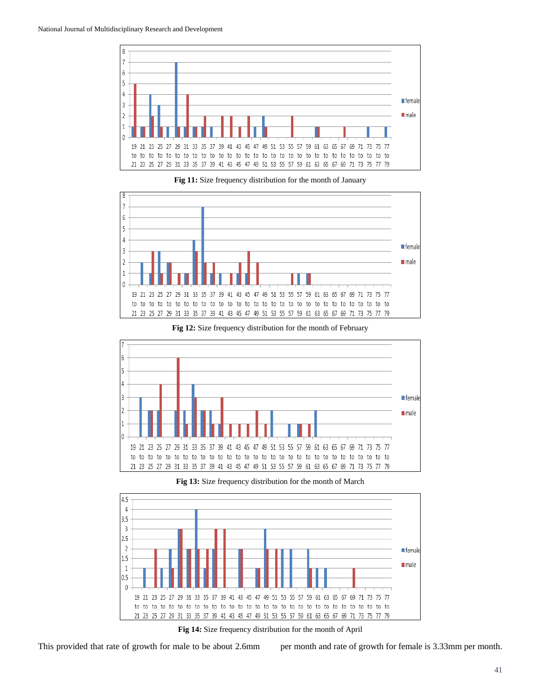







**Fig 12:** Size frequency distribution for the month of February



21 23 25 27 29 31 33 35 37 39 41 43 45 47 49 51 53 55 57 59 61 63 65 67 69 71 73 75 77 79



**Fig 14:** Size frequency distribution for the month of April

This provided that rate of growth for male to be about 2.6mm per month and rate of growth for female is 3.33mm per month.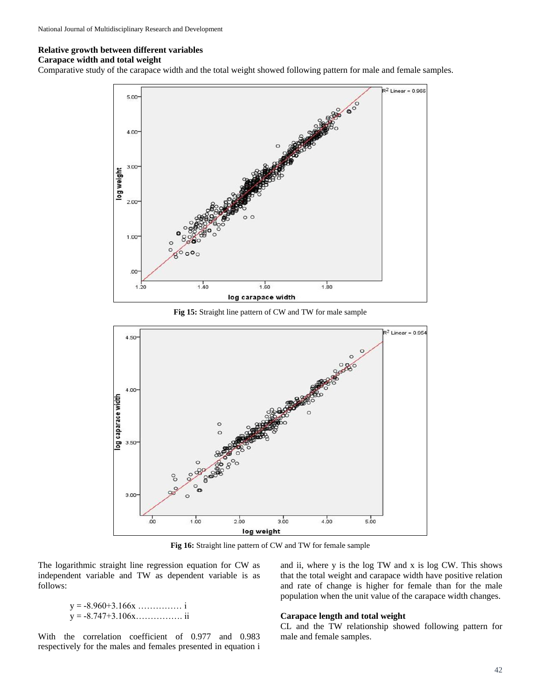# **Relative growth between different variables**

#### **Carapace width and total weight**

Comparative study of the carapace width and the total weight showed following pattern for male and female samples.



**Fig 15:** Straight line pattern of CW and TW for male sample



**Fig 16:** Straight line pattern of CW and TW for female sample

The logarithmic straight line regression equation for CW as independent variable and TW as dependent variable is as follows:

> $y = -8.960 + 3.166x$  …………… i y = -8.747+3.106x……………. ii

and rate of change is higher for female than for the male population when the unit value of the carapace width changes.

# **Carapace length and total weight**

With the correlation coefficient of 0.977 and 0.983 respectively for the males and females presented in equation i CL and the TW relationship showed following pattern for male and female samples.

and ii, where y is the log TW and x is log CW. This shows that the total weight and carapace width have positive relation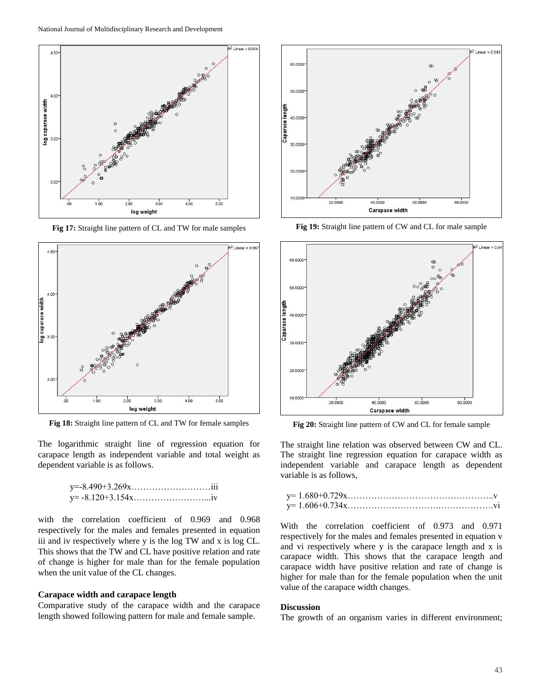

**Fig 17:** Straight line pattern of CL and TW for male samples



**Fig 18:** Straight line pattern of CL and TW for female samples

The logarithmic straight line of regression equation for carapace length as independent variable and total weight as dependent variable is as follows.

with the correlation coefficient of 0.969 and 0.968 respectively for the males and females presented in equation iii and iv respectively where y is the log TW and x is log CL. This shows that the TW and CL have positive relation and rate of change is higher for male than for the female population when the unit value of the CL changes.

### **Carapace width and carapace length**

Comparative study of the carapace width and the carapace length showed following pattern for male and female sample.



**Fig 19:** Straight line pattern of CW and CL for male sample



**Fig 20:** Straight line pattern of CW and CL for female sample

The straight line relation was observed between CW and CL. The straight line regression equation for carapace width as independent variable and carapace length as dependent variable is as follows,

With the correlation coefficient of 0.973 and 0.971 respectively for the males and females presented in equation v and vi respectively where y is the carapace length and x is carapace width. This shows that the carapace length and carapace width have positive relation and rate of change is higher for male than for the female population when the unit value of the carapace width changes.

#### **Discussion**

The growth of an organism varies in different environment;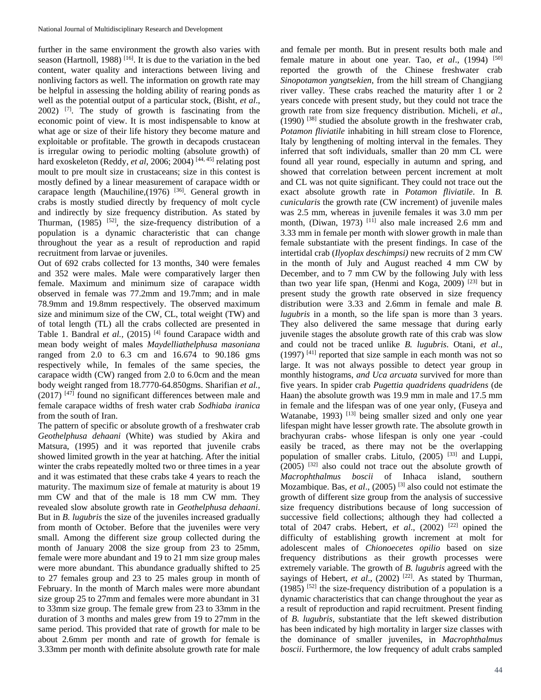further in the same environment the growth also varies with season (Hartnoll, 1988)<sup>[16]</sup>. It is due to the variation in the bed content, water quality and interactions between living and nonliving factors as well. The information on growth rate may be helpful in assessing the holding ability of rearing ponds as well as the potential output of a particular stock, (Bisht, *et al*., 2002) [7] . The study of growth is fascinating from the economic point of view. It is most indispensable to know at what age or size of their life history they become mature and exploitable or profitable. The growth in decapods crustacean is irregular owing to periodic molting (absolute growth) of hard exoskeleton (Reddy, *et al*, 2006; 2004)<sup>[44, 45]</sup> relating post moult to pre moult size in crustaceans; size in this contest is mostly defined by a linear measurement of carapace width or carapace length (Mauchiline, $(1976)$ <sup>[36]</sup>. General growth in crabs is mostly studied directly by frequency of molt cycle and indirectly by size frequency distribution. As stated by Thurman,  $(1985)$  <sup>[52]</sup>, the size-frequency distribution of a population is a dynamic characteristic that can change throughout the year as a result of reproduction and rapid recruitment from larvae or juveniles.

Out of 692 crabs collected for 13 months, 340 were females and 352 were males. Male were comparatively larger then female. Maximum and minimum size of carapace width observed in female was 77.2mm and 19.7mm; and in male 78.9mm and 19.8mm respectively. The observed maximum size and minimum size of the CW, CL, total weight (TW) and of total length (TL) all the crabs collected are presented in Table 1. Bandral *et al.*, (2015)<sup>[4]</sup> found Carapace width and mean body weight of males *Maydelliathelphusa masoniana* ranged from 2.0 to 6.3 cm and 16.674 to 90.186 gms respectively while, In females of the same species, the carapace width (CW) ranged from 2.0 to 6.0cm and the mean body weight ranged from 18.7770-64.850gms. Sharifian *et al.,*  $(2017)$ <sup>[47]</sup> found no significant differences between male and female carapace widths of fresh water crab *Sodhiaba iranica*  from the south of Iran.

The pattern of specific or absolute growth of a freshwater crab *Geothelphusa dehaani* (White) was studied by Akira and Matsura, (1995) and it was reported that juvenile crabs showed limited growth in the year at hatching. After the initial winter the crabs repeatedly molted two or three times in a year and it was estimated that these crabs take 4 years to reach the maturity. The maximum size of female at maturity is about 19 mm CW and that of the male is 18 mm CW mm. They revealed slow absolute growth rate in *Geothelphusa dehaani*. But in *B. lugubris* the size of the juveniles increased gradually from month of October. Before that the juveniles were very small. Among the different size group collected during the month of January 2008 the size group from 23 to 25mm, female were more abundant and 19 to 21 mm size group males were more abundant. This abundance gradually shifted to 25 to 27 females group and 23 to 25 males group in month of February. In the month of March males were more abundant size group 25 to 27mm and females were more abundant in 31 to 33mm size group. The female grew from 23 to 33mm in the duration of 3 months and males grew from 19 to 27mm in the same period. This provided that rate of growth for male to be about 2.6mm per month and rate of growth for female is 3.33mm per month with definite absolute growth rate for male

and female per month. But in present results both male and female mature in about one year. Tao, *et al.*, (1994)<sup>[50]</sup> reported the growth of the Chinese freshwater crab *Sinopotamon yangtsekien*, from the hill stream of Changjiang river valley. These crabs reached the maturity after 1 or 2 years concede with present study, but they could not trace the growth rate from size frequency distribution. Micheli, *et al*.,  $(1990)$  <sup>[38]</sup> studied the absolute growth in the freshwater crab, *Potamon fliviatile* inhabiting in hill stream close to Florence, Italy by lengthening of molting interval in the females. They inferred that soft individuals, smaller than 20 mm CL were found all year round, especially in autumn and spring, and showed that correlation between percent increment at molt and CL was not quite significant. They could not trace out the exact absolute growth rate in *Potamon fliviatile*. In *B. cunicularis* the growth rate (CW increment) of juvenile males was 2.5 mm, whereas in juvenile females it was 3.0 mm per month, (Diwan, 1973)<sup>[11]</sup> also male increased 2.6 mm and 3.33 mm in female per month with slower growth in male than female substantiate with the present findings. In case of the intertidal crab (*Ilyoplax deschimpsi)* new recruits of 2 mm CW in the month of July and August reached 4 mm CW by December, and to 7 mm CW by the following July with less than two year life span, (Henmi and Koga, 2009)  $[23]$  but in present study the growth rate observed in size frequency distribution were 3.33 and 2.6mm in female and male *B. lugubris* in a month, so the life span is more than 3 years. They also delivered the same message that during early juvenile stages the absolute growth rate of this crab was slow and could not be traced unlike *B. lugubris*. Otani, *et al*., (1997)<sup>[41]</sup> reported that size sample in each month was not so large. It was not always possible to detect year group in monthly histograms, *and Uca arcuata* survived for more than five years. In spider crab *Pugettia quadridens quadridens* (de Haan) the absolute growth was 19.9 mm in male and 17.5 mm in female and the lifespan was of one year only, (Fuseya and Watanabe, 1993)  $[13]$  being smaller sized and only one year lifespan might have lesser growth rate. The absolute growth in brachyuran crabs- whose lifespan is only one year -could easily be traced, as there may not be the overlapping population of smaller crabs. Litulo,  $(2005)^{53}$  and Luppi, (2005) [32] also could not trace out the absolute growth of *Macrophthalmus boscii* of Inhaca island, southern Mozambique. Bas, *et al.*, (2005)<sup>[3]</sup> also could not estimate the growth of different size group from the analysis of successive size frequency distributions because of long succession of successive field collections; although they had collected a total of 2047 crabs. Hebert, *et al.*,  $(2002)$ <sup>[22]</sup> opined the difficulty of establishing growth increment at molt for adolescent males of *Chionoecetes opilio* based on size frequency distributions as their growth processes were extremely variable. The growth of *B. lugubris* agreed with the sayings of Hebert, *et al.*, (2002)<sup>[22]</sup>. As stated by Thurman,  $(1985)$ <sup>[52]</sup> the size-frequency distribution of a population is a dynamic characteristics that can change throughout the year as a result of reproduction and rapid recruitment. Present finding of *B. lugubris*, substantiate that the left skewed distribution has been indicated by high mortality in larger size classes with the dominance of smaller juveniles, in *Macrophthalmus boscii*. Furthermore, the low frequency of adult crabs sampled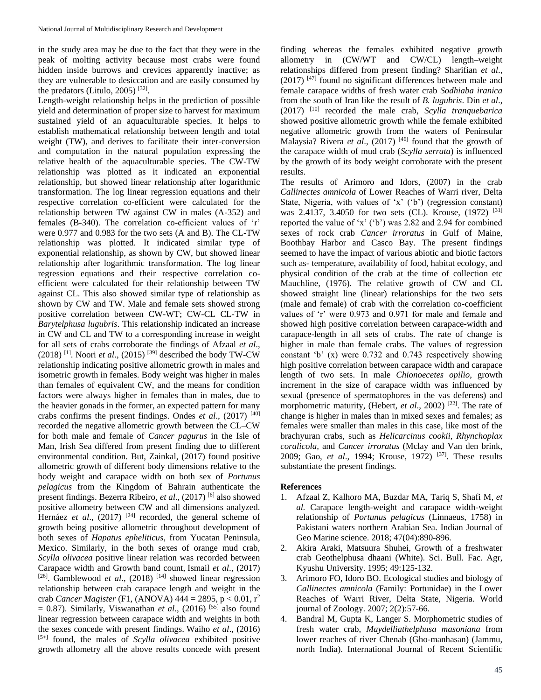in the study area may be due to the fact that they were in the peak of molting activity because most crabs were found hidden inside burrows and crevices apparently inactive; as they are vulnerable to desiccation and are easily consumed by the predators (Litulo, 2005)<sup>[32]</sup>.

Length-weight relationship helps in the prediction of possible yield and determination of proper size to harvest for maximum sustained yield of an aquaculturable species. It helps to establish mathematical relationship between length and total weight (TW), and derives to facilitate their inter-conversion and computation in the natural population expressing the relative health of the aquaculturable species. The CW-TW relationship was plotted as it indicated an exponential relationship, but showed linear relationship after logarithmic transformation. The log linear regression equations and their respective correlation co-efficient were calculated for the relationship between TW against CW in males (A-352) and females (B-340). The correlation co-efficient values of 'r' were 0.977 and 0.983 for the two sets (A and B). The CL-TW relationship was plotted. It indicated similar type of exponential relationship, as shown by CW, but showed linear relationship after logarithmic transformation. The log linear regression equations and their respective correlation coefficient were calculated for their relationship between TW against CL. This also showed similar type of relationship as shown by CW and TW. Male and female sets showed strong positive correlation between CW-WT; CW-CL CL-TW in *Barytelphusa lugubris*. This relationship indicated an increase in CW and CL and TW to a corresponding increase in weight for all sets of crabs corroborate the findings of Afzaal *et al*.,  $(2018)$ <sup>[1]</sup>. Noori *et al.*,  $(2015)$ <sup>[39]</sup> described the body TW-CW relationship indicating positive allometric growth in males and isometric growth in females. Body weight was higher in males than females of equivalent CW, and the means for condition factors were always higher in females than in males, due to the heavier gonads in the former, an expected pattern for many crabs confirms the present findings. Ondes *et al*., (2017) [40] recorded the negative allometric growth between the CL–CW for both male and female of *Cancer pagurus* in the Isle of Man, Irish Sea differed from present finding due to different environmental condition. But, Zainkal, (2017) found positive allometric growth of different body dimensions relative to the body weight and carapace width on both sex of *Portunus pelagicus* from the Kingdom of Bahrain authenticate the present findings. Bezerra Ribeiro, et al., (2017)<sup>[6]</sup> also showed positive allometry between CW and all dimensions analyzed. Hernáez *et al.*, (2017)<sup>[24]</sup> recorded, the general scheme of growth being positive allometric throughout development of both sexes of *Hapatus epheliticus*, from Yucatan Peninsula, Mexico. Similarly, in the both sexes of orange mud crab, *Scylla olivacea* positive linear relation was recorded between Carapace width and Growth band count, Ismail *et al*., (2017)  $[26]$ . Gamblewood *et al.*,  $(2018)$ <sup>[14]</sup> showed linear regression relationship between crab carapace length and weight in the crab *Cancer Magister* (F1, (ANOVA) 444 = 2895, p < 0.01, r<sup>2</sup>  $= 0.87$ ). Similarly, Viswanathan *et al.*, (2016)<sup>[55]</sup> also found linear regression between carapace width and weights in both the sexes concede with present findings. Waiho *et al*., (2016) [5+] found, the males of *Scylla olivacea* exhibited positive growth allometry all the above results concede with present

finding whereas the females exhibited negative growth allometry in (CW/WT and CW/CL) length–weight relationships differed from present finding? Sharifian *et al*., (2017) [47] found no significant differences between male and female carapace widths of fresh water crab *Sodhiaba iranica*  from the south of Iran like the result of *B. lugubris*. Din *et al*., (2017) [10] recorded the male crab, *Scylla tranquebarica* showed positive allometric growth while the female exhibited negative allometric growth from the waters of Peninsular Malaysia? Rivera et al., (2017)<sup>[46]</sup> found that the growth of the carapace width of mud crab (*Scylla serrata*) is influenced by the growth of its body weight corroborate with the present results.

The results of Arimoro and Idors, (2007) in the crab *Callinectes amnicola* of Lower Reaches of Warri river, Delta State, Nigeria, with values of 'x' ('b') (regression constant) was 2.4137, 3.4050 for two sets (CL). Krouse,  $(1972)$ <sup>[31]</sup> reported the value of 'x' ('b') was 2.82 and 2.94 for combined sexes of rock crab *Cancer irroratus* in Gulf of Maine, Boothbay Harbor and Casco Bay. The present findings seemed to have the impact of various abiotic and biotic factors such as- temperature, availability of food, habitat ecology, and physical condition of the crab at the time of collection etc Mauchline, (1976). The relative growth of CW and CL showed straight line (linear) relationships for the two sets (male and female) of crab with the correlation co-coefficient values of 'r' were 0.973 and 0.971 for male and female and showed high positive correlation between carapace-width and carapace-length in all sets of crabs. The rate of change is higher in male than female crabs. The values of regression constant 'b' (x) were 0.732 and 0.743 respectively showing high positive correlation between carapace width and carapace length of two sets. In male *Chionoecetes opilio*, growth increment in the size of carapace width was influenced by sexual (presence of spermatophores in the vas deferens) and morphometric maturity, (Hebert, *et al.*, 2002)<sup>[22]</sup>. The rate of change is higher in males than in mixed sexes and females; as females were smaller than males in this case, like most of the brachyuran crabs, such as *Helicarcinus cookii*, *Rhynchoplax coralicola,* and *Cancer irroratus* (Mclay and Van den brink, 2009; Gao, *et al.*, 1994; Krouse, 1972)<sup>[37]</sup>. These results substantiate the present findings.

### **References**

- 1. Afzaal Z, Kalhoro MA, Buzdar MA, Tariq S, Shafi M, *et al.* Carapace length-weight and carapace width-weight relationship of *Portunus pelagicus* (Linnaeus, 1758) in Pakistani waters northern Arabian Sea. Indian Journal of Geo Marine science. 2018; 47(04):890-896.
- 2. Akira Araki, Matsuura Shuhei, Growth of a freshwater crab Geothelphusa dhaani (White). Sci. Bull. Fac. Agr, Kyushu University. 1995; 49:125-132.
- 3. Arimoro FO, Idoro BO. Ecological studies and biology of *Callinectes amnicola* (Family: Portunidae) in the Lower Reaches of Warri River, Delta State, Nigeria. World journal of Zoology. 2007; 2(2):57-66.
- 4. Bandral M, Gupta K, Langer S. Morphometric studies of fresh water crab, *Maydelliathelphusa masoniana* from lower reaches of river Chenab (Gho-manhasan) (Jammu, north India). International Journal of Recent Scientific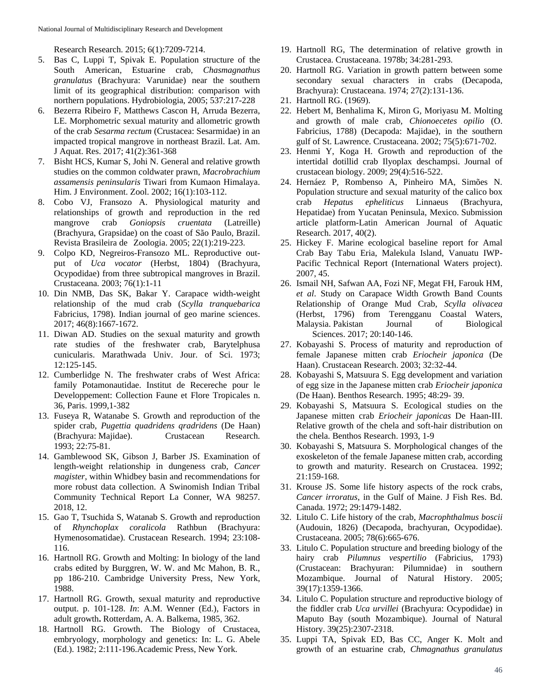Research Research. 2015; 6(1):7209-7214.

- 5. Bas C, Luppi T, Spivak E. Population structure of the South American, Estuarine crab, *Chasmagnathus granulatus* (Brachyura: Varunidae) near the southern limit of its geographical distribution: comparison with northern populations. Hydrobiologia, 2005; 537:217-228
- 6. Bezerra Ribeiro F, Matthews Cascon H, Arruda Bezerra, LE. Morphometric sexual maturity and allometric growth of the crab *Sesarma rectum* (Crustacea: Sesarmidae) in an impacted tropical mangrove in northeast Brazil. Lat. Am. J Aquat. Res. 2017; 41(2):361-368
- 7. Bisht HCS, Kumar S, Johi N. General and relative growth studies on the common coldwater prawn, *Macrobrachium assamensis peninsularis* Tiwari from Kumaon Himalaya. Him. J Environment. Zool. 2002; 16(1):103-112.
- 8. Cobo VJ, Fransozo A. Physiological maturity and relationships of growth and reproduction in the red mangrove crab *Goniopsis cruentata* (Latreille) (Brachyura, Grapsidae) on the coast of São Paulo, Brazil. Revista Brasileira de Zoologia. 2005; 22(1):219-223.
- 9. Colpo KD, Negreiros-Fransozo ML. Reproductive output of *Uca vocator* (Herbst, 1804) (Brachyura, Ocypodidae) from three subtropical mangroves in Brazil. Crustaceana. 2003; 76(1):1-11
- 10. Din NMB, Das SK, Bakar Y. Carapace width-weight relationship of the mud crab (*Scylla tranquebarica* Fabricius, 1798). Indian journal of geo marine sciences. 2017; 46(8):1667-1672.
- 11. Diwan AD. Studies on the sexual maturity and growth rate studies of the freshwater crab, Barytelphusa cunicularis. Marathwada Univ. Jour. of Sci. 1973; 12:125-145.
- 12. Cumberlidge N. The freshwater crabs of West Africa: family Potamonautidae. Institut de Recereche pour le Developpement: Collection Faune et Flore Tropicales n. 36, Paris. 1999,1-382
- 13. Fuseya R, Watanabe S. Growth and reproduction of the spider crab, *Pugettia quadridens qradridens* (De Haan) (Brachyura: Majidae). Crustacean Research. 1993; 22:75-81.
- 14. Gamblewood SK, Gibson J, Barber JS. Examination of length-weight relationship in dungeness crab, *Cancer magister*, within Whidbey basin and recommendations for more robust data collection. A Swinomish Indian Tribal Community Technical Report La Conner, WA 98257. 2018, 12.
- 15. Gao T, Tsuchida S, Watanab S. Growth and reproduction of *Rhynchoplax coralicola* Rathbun (Brachyura: Hymenosomatidae). Crustacean Research. 1994; 23:108- 116.
- 16. Hartnoll RG. Growth and Molting: In biology of the land crabs edited by Burggren, W. W. and Mc Mahon, B. R., pp 186-210. Cambridge University Press, New York, 1988.
- 17. Hartnoll RG. Growth, sexual maturity and reproductive output. p. 101-128. *In*: A.M. Wenner (Ed.), Factors in adult growth**.** Rotterdam, A. A. Balkema, 1985, 362.
- 18. Hartnoll RG. Growth. The Biology of Crustacea, embryology, morphology and genetics: In: L. G. Abele (Ed.). 1982; 2:111-196.Academic Press, New York.
- 19. Hartnoll RG, The determination of relative growth in Crustacea. Crustaceana. 1978b; 34:281-293.
- 20. Hartnoll RG. Variation in growth pattern between some secondary sexual characters in crabs (Decapoda, Brachyura): Crustaceana. 1974; 27(2):131-136.
- 21. Hartnoll RG. (1969).
- 22. Hebert M, Benhalima K, Miron G, Moriyasu M. Molting and growth of male crab*, Chionoecetes opilio* (O. Fabricius, 1788) (Decapoda: Majidae), in the southern gulf of St. Lawrence. Crustaceana. 2002; 75(5):671-702.
- 23. Henmi Y, Koga H. Growth and reproduction of the intertidal dotillid crab Ilyoplax deschampsi. Journal of crustacean biology. 2009; 29(4):516-522.
- 24. Hernáez P, Rombenso A, Pinheiro MA, Simões N. Population structure and sexual maturity of the calico box crab *Hepatus epheliticus* Linnaeus (Brachyura, Hepatidae) from Yucatan Peninsula, Mexico. Submission article platform-Latin American Journal of Aquatic Research. 2017, 40(2).
- 25. Hickey F. Marine ecological baseline report for Amal Crab Bay Tabu Eria, Malekula Island, Vanuatu IWP-Pacific Technical Report (International Waters project). 2007, 45.
- 26. Ismail NH, Safwan AA, Fozi NF, Megat FH, Farouk HM, *et al*. Study on Carapace Width Growth Band Counts Relationship of Orange Mud Crab, *Scylla olivacea* (Herbst, 1796) from Terengganu Coastal Waters, Malaysia. Pakistan Journal of Biological Sciences. 2017; 20:140-146.
- 27. Kobayashi S. Process of maturity and reproduction of female Japanese mitten crab *Eriocheir japonica* (De Haan). Crustacean Research. 2003; 32:32-44.
- 28. Kobayashi S, Matsuura S. Egg development and variation of egg size in the Japanese mitten crab *Eriocheir japonica* (De Haan). Benthos Research. 1995; 48:29- 39.
- 29. Kobayashi S, Matsuura S. Ecological studies on the Japanese mitten crab *Eriocheir japonicas* De Haan-III. Relative growth of the chela and soft-hair distribution on the chela. Benthos Research. 1993, 1-9
- 30. Kobayashi S, Matsuura S. Morphological changes of the exoskeleton of the female Japanese mitten crab, according to growth and maturity. Research on Crustacea. 1992; 21:159-168.
- 31. Krouse JS. Some life history aspects of the rock crabs, *Cancer irroratus*, in the Gulf of Maine. J Fish Res. Bd. Canada. 1972; 29:1479-1482.
- 32. Litulo C. Life history of the crab, *Macrophthalmus boscii*  (Audouin, 1826) (Decapoda, brachyuran, Ocypodidae). Crustaceana. 2005; 78(6):665-676.
- 33. Litulo C. Population structure and breeding biology of the hairy crab *Pilumnus vespertilio* (Fabricius, 1793) (Crustacean: Brachyuran: Pilumnidae) in southern Mozambique. Journal of Natural History. 2005; 39(17):1359-1366.
- 34. Litulo C. Population structure and reproductive biology of the fiddler crab *Uca urvillei* (Brachyura: Ocypodidae) in Maputo Bay (south Mozambique). Journal of Natural History. 39(25):2307-2318.
- 35. Luppi TA, Spivak ED, Bas CC, Anger K. Molt and growth of an estuarine crab, *Chmagnathus granulatus*